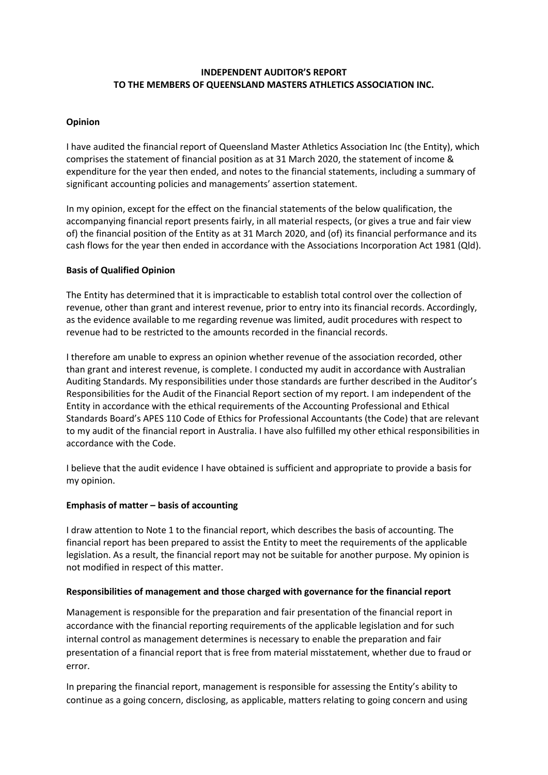# **INDEPENDENT AUDITOR'S REPORT TO THE MEMBERS OF QUEENSLAND MASTERS ATHLETICS ASSOCIATION INC.**

### **Opinion**

I have audited the financial report of Queensland Master Athletics Association Inc (the Entity), which comprises the statement of financial position as at 31 March 2020, the statement of income & expenditure for the year then ended, and notes to the financial statements, including a summary of significant accounting policies and managements' assertion statement.

In my opinion, except for the effect on the financial statements of the below qualification, the accompanying financial report presents fairly, in all material respects, (or gives a true and fair view of) the financial position of the Entity as at 31 March 2020, and (of) its financial performance and its cash flows for the year then ended in accordance with the Associations Incorporation Act 1981 (Qld).

## **Basis of Qualified Opinion**

The Entity has determined that it is impracticable to establish total control over the collection of revenue, other than grant and interest revenue, prior to entry into its financial records. Accordingly, as the evidence available to me regarding revenue was limited, audit procedures with respect to revenue had to be restricted to the amounts recorded in the financial records.

I therefore am unable to express an opinion whether revenue of the association recorded, other than grant and interest revenue, is complete. I conducted my audit in accordance with Australian Auditing Standards. My responsibilities under those standards are further described in the Auditor's Responsibilities for the Audit of the Financial Report section of my report. I am independent of the Entity in accordance with the ethical requirements of the Accounting Professional and Ethical Standards Board's APES 110 Code of Ethics for Professional Accountants (the Code) that are relevant to my audit of the financial report in Australia. I have also fulfilled my other ethical responsibilities in accordance with the Code.

I believe that the audit evidence I have obtained is sufficient and appropriate to provide a basis for my opinion.

#### **Emphasis of matter – basis of accounting**

I draw attention to Note 1 to the financial report, which describes the basis of accounting. The financial report has been prepared to assist the Entity to meet the requirements of the applicable legislation. As a result, the financial report may not be suitable for another purpose. My opinion is not modified in respect of this matter.

#### **Responsibilities of management and those charged with governance for the financial report**

Management is responsible for the preparation and fair presentation of the financial report in accordance with the financial reporting requirements of the applicable legislation and for such internal control as management determines is necessary to enable the preparation and fair presentation of a financial report that is free from material misstatement, whether due to fraud or error.

In preparing the financial report, management is responsible for assessing the Entity's ability to continue as a going concern, disclosing, as applicable, matters relating to going concern and using